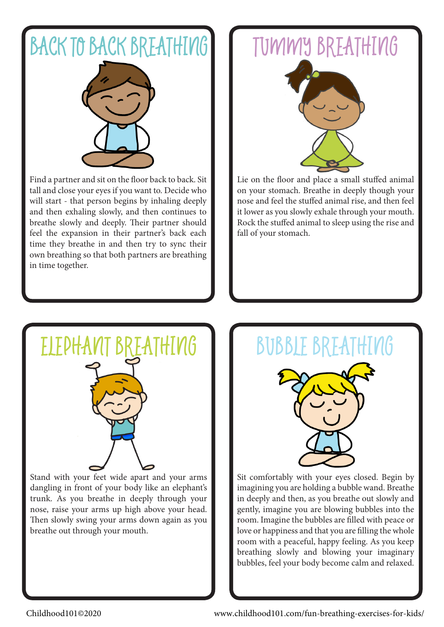### BACK TO BACK BREATHING



Find a partner and sit on the floor back to back. Sit tall and close your eyes if you want to. Decide who will start - that person begins by inhaling deeply and then exhaling slowly, and then continues to breathe slowly and deeply. Their partner should feel the expansion in their partner's back each time they breathe in and then try to sync their own breathing so that both partners are breathing in time together.

### TUMMY BREATHING



Lie on the floor and place a small stuffed animal on your stomach. Breathe in deeply though your nose and feel the stuffed animal rise, and then feel it lower as you slowly exhale through your mouth. Rock the stuffed animal to sleep using the rise and fall of your stomach.



Stand with your feet wide apart and your arms dangling in front of your body like an elephant's trunk. As you breathe in deeply through your nose, raise your arms up high above your head. Then slowly swing your arms down again as you breathe out through your mouth.

# BREATHING II BUBBLE BREATHING

Sit comfortably with your eyes closed. Begin by imagining you are holding a bubble wand. Breathe in deeply and then, as you breathe out slowly and gently, imagine you are blowing bubbles into the room. Imagine the bubbles are filled with peace or love or happiness and that you are filling the whole room with a peaceful, happy feeling. As you keep breathing slowly and blowing your imaginary bubbles, feel your body become calm and relaxed.